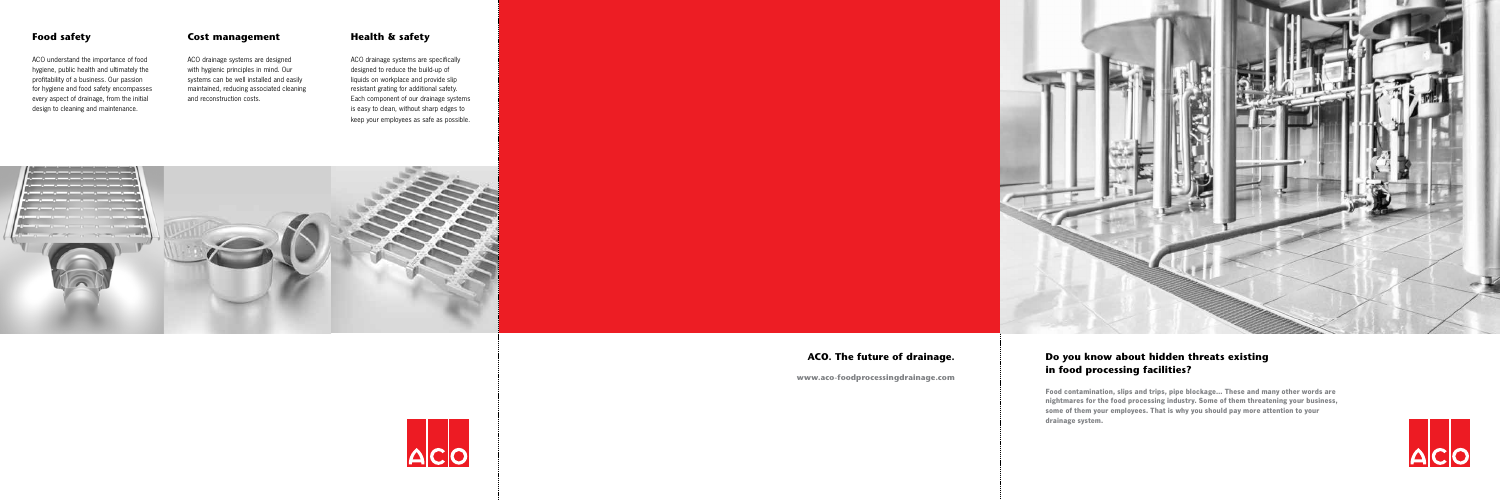## Do you know about hidden threats existing in food processing facilities?

**Food contamination, slips and trips, pipe blockage… These and many other words are nightmares for the food processing industry. Some of them threatening your business, some of them your employees. That is why you should pay more attention to your drainage system.**



ACO. The future of drainage.

www.aco-foodprocessingdrainage.com





ACO understand the importance of food hygiene, public health and ultimately the profitability of a business. Our passion for hygiene and food safety encompasses every aspect of drainage, from the initial design to cleaning and maintenance.

### Food safety **Cost management** Health & safety

ACO drainage systems are designed with hygienic principles in mind. Our systems can be well installed and easily maintained, reducing associated cleaning and reconstruction costs.

ACO drainage systems are specifically designed to reduce the build-up of liquids on workplace and provide slip resistant grating for additional safety. Each component of our drainage systems is easy to clean, without sharp edges to keep your employees as safe as possible.